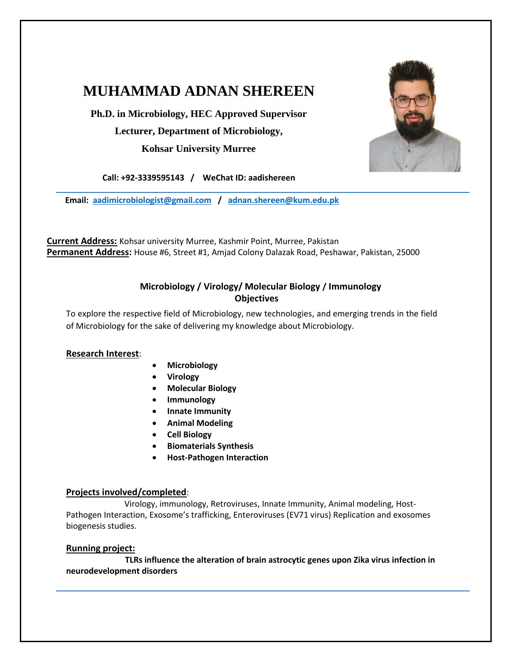# **MUHAMMAD ADNAN SHEREEN**

**Ph.D. in Microbiology, HEC Approved Supervisor Lecturer, Department of Microbiology, Kohsar University Murree**



**Call: +92-3339595143 / WeChat ID: aadishereen**

 **Email: [aadimicrobiologist@gmail.com](mailto:aadimicrobiologist@gmail.com) / [adnan.shereen@kum.edu.pk](mailto:adnan.shereen@kum.edu.pk)**

**Current Address:** Kohsar university Murree, Kashmir Point, Murree, Pakistan **Permanent Address:** House #6, Street #1, Amjad Colony Dalazak Road, Peshawar, Pakistan, 25000

### **Microbiology / Virology/ Molecular Biology / Immunology Objectives**

To explore the respective field of Microbiology, new technologies, and emerging trends in the field of Microbiology for the sake of delivering my knowledge about Microbiology.

### **Research Interest**:

- **Microbiology**
- **Virology**
- **Molecular Biology**
- **Immunology**
- **Innate Immunity**
- **Animal Modeling**
- **Cell Biology**
- **Biomaterials Synthesis**
- **Host-Pathogen Interaction**

### **Projects involved/completed**:

 Virology, immunology, Retroviruses, Innate Immunity, Animal modeling, Host-Pathogen Interaction, Exosome's trafficking, Enteroviruses (EV71 virus) Replication and exosomes biogenesis studies.

#### **Running project:**

 **TLRs influence the alteration of brain astrocytic genes upon Zika virus infection in neurodevelopment disorders**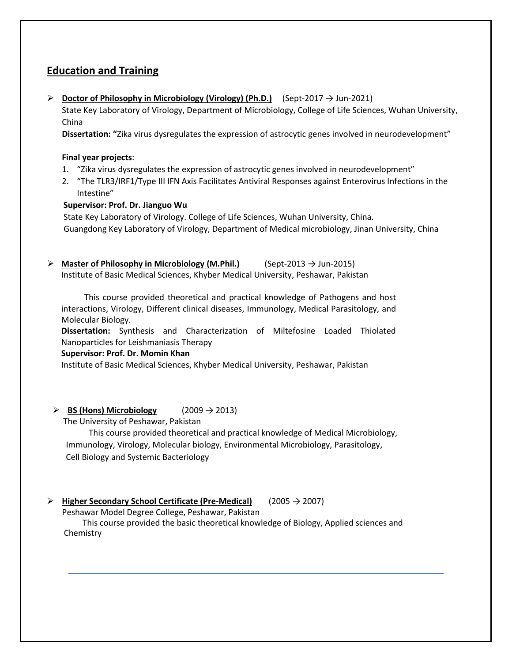# **Education and Training**

➢ **Doctor of Philosophy in Microbiology (Virology) (Ph.D.)** (Sept-2017 → Jun-2021)

State Key Laboratory of Virology, Department of Microbiology, College of Life Sciences, Wuhan University, China

**Dissertation: "**Zika virus dysregulates the expression of astrocytic genes involved in neurodevelopment"

#### **Final year projects**:

- 1. "Zika virus dysregulates the expression of astrocytic genes involved in neurodevelopment"
- 2. "The TLR3/IRF1/Type III IFN Axis Facilitates Antiviral Responses against Enterovirus Infections in the Intestine"

### **Supervisor: Prof. Dr. Jianguo Wu**

 State Key Laboratory of Virology. College of Life Sciences, Wuhan University, China. Guangdong Key Laboratory of Virology, Department of Medical microbiology, Jinan University, China

➢ **Master of Philosophy** · **in Microbiology (M.Phil.)** (Sept-2013 → Jun-2015) Institute of Basic Medical Sciences, Khyber Medical University, Peshawar, Pakistan

 This course provided theoretical and practical knowledge of Pathogens and host interactions, Virology, Different clinical diseases, Immunology, Medical Parasitology, and Molecular Biology.

**Dissertation:** Synthesis and Characterization of Miltefosine Loaded Thiolated Nanoparticles for Leishmaniasis Therapy

### **Supervisor: Prof. Dr. Momin Khan**

Institute of Basic Medical Sciences, Khyber Medical University, Peshawar, Pakistan

### $\triangleright$  **BS (Hons) Microbiology** (2009  $\rightarrow$  2013)

The University of Peshawar, Pakistan

 This course provided theoretical and practical knowledge of Medical Microbiology, Immunology, Virology, Molecular biology, Environmental Microbiology, Parasitology, Cell Biology and Systemic Bacteriology

### ➢ **Higher Secondary School Certificate (Pre-Medical)** (2005 → 2007)

Peshawar Model Degree College, Peshawar, Pakistan

 This course provided the basic theoretical knowledge of Biology, Applied sciences and Chemistry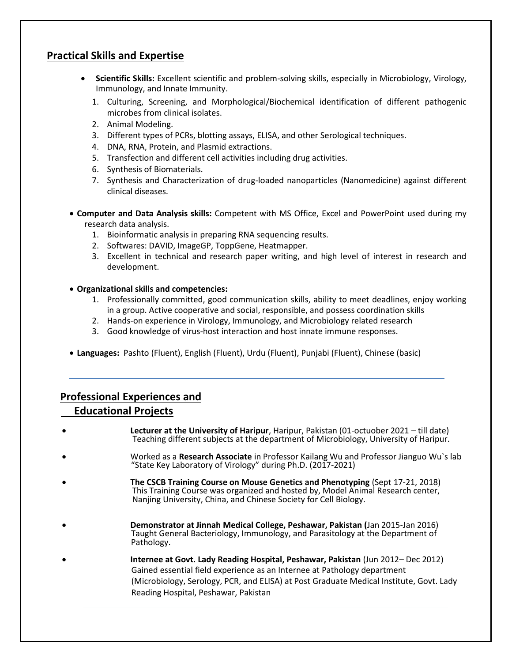### **Practical Skills and Expertise**

- **Scientific Skills:** Excellent scientific and problem-solving skills, especially in Microbiology, Virology, Immunology, and Innate Immunity.
	- 1. Culturing, Screening, and Morphological/Biochemical identification of different pathogenic microbes from clinical isolates.
	- 2. Animal Modeling.
	- 3. Different types of PCRs, blotting assays, ELISA, and other Serological techniques.
	- 4. DNA, RNA, Protein, and Plasmid extractions.
	- 5. Transfection and different cell activities including drug activities.
	- 6. Synthesis of Biomaterials.
	- 7. Synthesis and Characterization of drug-loaded nanoparticles (Nanomedicine) against different clinical diseases.
- **Computer and Data Analysis skills:** Competent with MS Office, Excel and PowerPoint used during my research data analysis.
	- 1. Bioinformatic analysis in preparing RNA sequencing results.
	- 2. Softwares: DAVID, ImageGP, ToppGene, Heatmapper.
	- 3. Excellent in technical and research paper writing, and high level of interest in research and development.

#### • **Organizational skills and competencies:**

- 1. Professionally committed, good communication skills, ability to meet deadlines, enjoy working in a group. Active cooperative and social, responsible, and possess coordination skills
- 2. Hands-on experience in Virology, Immunology, and Microbiology related research
- 3. Good knowledge of virus-host interaction and host innate immune responses.
- **Languages:** Pashto (Fluent), English (Fluent), Urdu (Fluent), Punjabi (Fluent), Chinese (basic)

## **Professional Experiences and**

### **Educational Projects**

- **Lecturer at the University of Haripur**, Haripur, Pakistan (01-octuober 2021 till date) Teaching different subjects at the department of Microbiology, University of Haripur.
- Worked as a **Research Associate** in Professor Kailang Wu and Professor Jianguo Wu`s lab "State Key Laboratory of Virology" during Ph.D. (2017-2021)
- **The CSCB Training Course on Mouse Genetics and Phenotyping** (Sept 17-21, 2018) This Training Course was organized and hosted by, Model Animal Research center, Nanjing University, China, and Chinese Society for Cell Biology.
- **Demonstrator at Jinnah Medical College, Peshawar, Pakistan (**Jan 2015-Jan 2016) Taught General Bacteriology, Immunology, and Parasitology at the Department of Pathology.
- **Internee at Govt. Lady Reading Hospital, Peshawar, Pakistan** (Jun 2012– Dec 2012) Gained essential field experience as an Internee at Pathology department (Microbiology, Serology, PCR, and ELISA) at Post Graduate Medical Institute, Govt. Lady Reading Hospital, Peshawar, Pakistan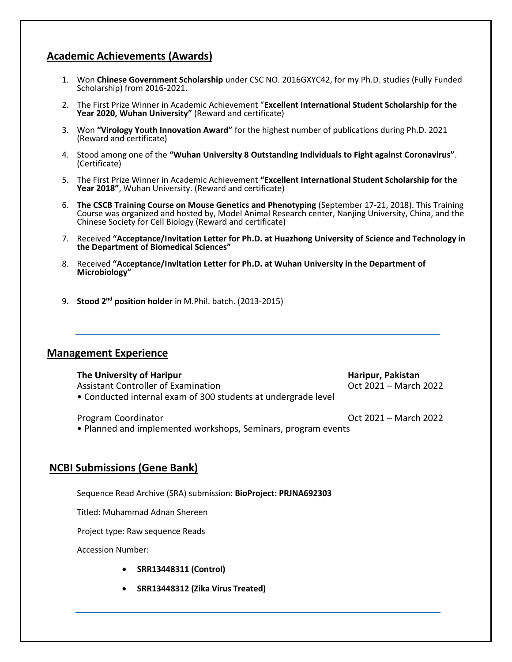## **Academic Achievements (Awards)**

- 1. Won **Chinese Government Scholarship** under CSC NO. 2016GXYC42, for my Ph.D. studies (Fully Funded Scholarship) from 2016-2021.
- 2. The First Prize Winner in Academic Achievement "**Excellent International Student Scholarship for the Year 2020, Wuhan University"** (Reward and certificate)
- 3. Won **"Virology Youth Innovation Award"** for the highest number of publications during Ph.D. 2021 (Reward and certificate)
- 4. Stood among one of the **"Wuhan University 8 Outstanding Individuals to Fight against Coronavirus"**. (Certificate)
- 5. The First Prize Winner in Academic Achievement **"Excellent International Student Scholarship for the Year 2018"**, Wuhan University. (Reward and certificate)
- 6. **The CSCB Training Course on Mouse Genetics and Phenotyping** (September 17-21, 2018). This Training Course was organized and hosted by, Model Animal Research center, Nanjing University, China, and the Chinese Society for Cell Biology (Reward and certificate)
- 7. Received **"Acceptance/Invitation Letter for Ph.D. at Huazhong University of Science and Technology in the Department of Biomedical Sciences"**
- 8. Received **"Acceptance/Invitation Letter for Ph.D. at Wuhan University in the Department of Microbiology"**
- 9. **Stood 2nd position holder** in M.Phil. batch. (2013-2015)

### **Management Experience**

**The University of Haripur Haripur, Pakistan** Assistant Controller of Examination **Controller Controller Controller Controller** Oct 2021 – March 2022 • Conducted internal exam of 300 students at undergrade level

Program Coordinator **Community Program Coordinator Oct 2021 – March 2022** 

• Planned and implemented workshops, Seminars, program events

### **NCBI Submissions (Gene Bank)**

Sequence Read Archive (SRA) submission: **BioProject: PRJNA692303**

Titled: Muhammad Adnan Shereen

Project type: Raw sequence Reads

Accession Number:

- **SRR13448311 (Control)**
- **SRR13448312 (Zika Virus Treated)**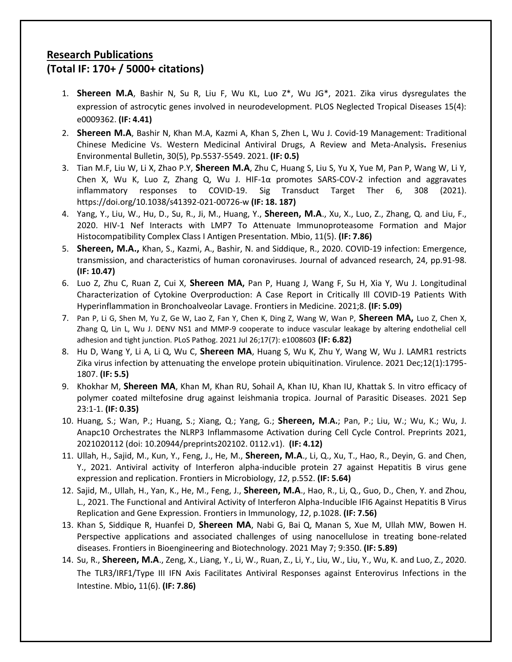# **Research Publications**

# **(Total IF: 170+ / 5000+ citations)**

- 1. **Shereen M.A**, Bashir N, Su R, Liu F, Wu KL, Luo Z\*, Wu JG\*, 2021. Zika virus dysregulates the expression of astrocytic genes involved in neurodevelopment. PLOS Neglected Tropical Diseases 15(4): e0009362. **(IF: 4.41)**
- 2. **Shereen M.A**, Bashir N, Khan M.A, Kazmi A, Khan S, Zhen L, Wu J. Covid-19 Management: Traditional Chinese Medicine Vs. Western Medicinal Antiviral Drugs, A Review and Meta-Analysis**.** Fresenius Environmental Bulletin, 30(5), Pp.5537-5549. 2021. **(IF: 0.5)**
- 3. Tian M.F, Liu W, Li X, Zhao P.Y, **Shereen M.A**, Zhu C, Huang S, Liu S, Yu X, Yue M, Pan P, Wang W, Li Y, Chen X, Wu K, Luo Z, Zhang Q, Wu J. HIF-1 $\alpha$  promotes SARS-COV-2 infection and aggravates inflammatory responses to COVID-19. Sig Transduct Target Ther 6, 308 (2021). https://doi.org/10.1038/s41392-021-00726-w **(IF: 18. 187)**
- 4. Yang, Y., Liu, W., Hu, D., Su, R., Ji, M., Huang, Y., **Shereen, M.A**., Xu, X., Luo, Z., Zhang, Q. and Liu, F., 2020. HIV-1 Nef Interacts with LMP7 To Attenuate Immunoproteasome Formation and Major Histocompatibility Complex Class I Antigen Presentation. Mbio, 11(5). **(IF: 7.86)**
- 5. **Shereen, M.A.,** Khan, S., Kazmi, A., Bashir, N. and Siddique, R., 2020. COVID-19 infection: Emergence, transmission, and characteristics of human coronaviruses. Journal of advanced research, 24, pp.91-98. **(IF: 10.47)**
- 6. Luo Z, Zhu C, Ruan Z, Cui X, **Shereen MA,** Pan P, Huang J, Wang F, Su H, Xia Y, Wu J. Longitudinal Characterization of Cytokine Overproduction: A Case Report in Critically Ill COVID-19 Patients With Hyperinflammation in Bronchoalveolar Lavage. Frontiers in Medicine. 2021;8. **(IF: 5.09)**
- 7. Pan P, Li G, Shen M, Yu Z, Ge W, Lao Z, Fan Y, Chen K, Ding Z, Wang W, Wan P, **Shereen MA,** Luo Z, Chen X, Zhang Q, Lin L, Wu J. DENV NS1 and MMP-9 cooperate to induce vascular leakage by altering endothelial cell adhesion and tight junction. PLoS Pathog. 2021 Jul 26;17(7): e1008603 **(IF: 6.82)**
- 8. Hu D, Wang Y, Li A, Li Q, Wu C, **Shereen MA**, Huang S, Wu K, Zhu Y, Wang W, Wu J. LAMR1 restricts Zika virus infection by attenuating the envelope protein ubiquitination. Virulence. 2021 Dec;12(1):1795- 1807. **(IF: 5.5)**
- 9. Khokhar M, **Shereen MA**, Khan M, Khan RU, Sohail A, Khan IU, Khan IU, Khattak S. In vitro efficacy of polymer coated miltefosine drug against leishmania tropica. Journal of Parasitic Diseases. 2021 Sep 23:1-1. **(IF: 0.35)**
- 10. Huang, S.; Wan, P.; Huang, S.; Xiang, Q.; Yang, G.; **Shereen, M**.**A.**; Pan, P.; Liu, W.; Wu, K.; Wu, J. Anapc10 Orchestrates the NLRP3 Inflammasome Activation during Cell Cycle Control. Preprints 2021, 2021020112 (doi: 10.20944/preprints202102. 0112.v1). **(IF: 4.12)**
- 11. Ullah, H., Sajid, M., Kun, Y., Feng, J., He, M., **Shereen, M.A**., Li, Q., Xu, T., Hao, R., Deyin, G. and Chen, Y., 2021. Antiviral activity of Interferon alpha-inducible protein 27 against Hepatitis B virus gene expression and replication. Frontiers in Microbiology, *12*, p.552. **(IF: 5.64)**
- 12. Sajid, M., Ullah, H., Yan, K., He, M., Feng, J., **Shereen, M.A**., Hao, R., Li, Q., Guo, D., Chen, Y. and Zhou, L., 2021. The Functional and Antiviral Activity of Interferon Alpha-Inducible IFI6 Against Hepatitis B Virus Replication and Gene Expression. Frontiers in Immunology, *12*, p.1028. **(IF: 7.56)**
- 13. Khan S, Siddique R, Huanfei D, **Shereen MA**, Nabi G, Bai Q, Manan S, Xue M, Ullah MW, Bowen H. Perspective applications and associated challenges of using nanocellulose in treating bone-related diseases. Frontiers in Bioengineering and Biotechnology. 2021 May 7; 9:350. **(IF: 5.89)**
- 14. Su, R., **Shereen, M.A**., Zeng, X., Liang, Y., Li, W., Ruan, Z., Li, Y., Liu, W., Liu, Y., Wu, K. and Luo, Z., 2020. The TLR3/IRF1/Type III IFN Axis Facilitates Antiviral Responses against Enterovirus Infections in the Intestine. Mbio**,** 11(6). **(IF: 7.86)**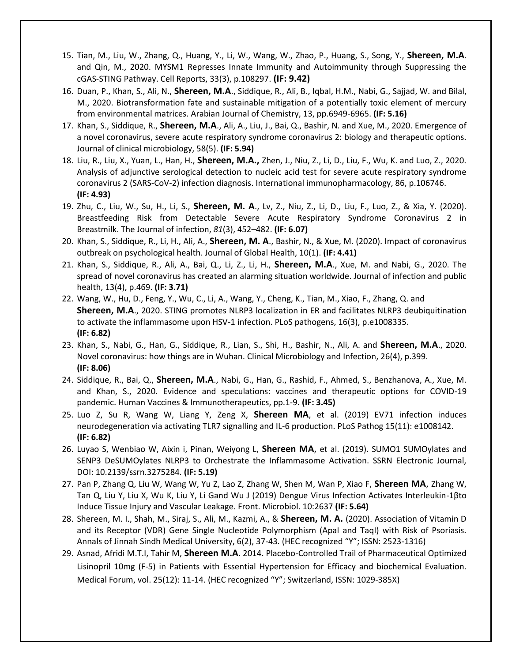- 15. Tian, M., Liu, W., Zhang, Q., Huang, Y., Li, W., Wang, W., Zhao, P., Huang, S., Song, Y., **Shereen, M.A**. and Qin, M., 2020. MYSM1 Represses Innate Immunity and Autoimmunity through Suppressing the cGAS-STING Pathway. Cell Reports, 33(3), p.108297. **(IF: 9.42)**
- 16. Duan, P., Khan, S., Ali, N., **Shereen, M.A**., Siddique, R., Ali, B., Iqbal, H.M., Nabi, G., Sajjad, W. and Bilal, M., 2020. Biotransformation fate and sustainable mitigation of a potentially toxic element of mercury from environmental matrices. Arabian Journal of Chemistry, 13, pp.6949-6965. **(IF: 5.16)**
- 17. Khan, S., Siddique, R., **Shereen, M.A**., Ali, A., Liu, J., Bai, Q., Bashir, N. and Xue, M., 2020. Emergence of a novel coronavirus, severe acute respiratory syndrome coronavirus 2: biology and therapeutic options. Journal of clinical microbiology, 58(5). **(IF: 5.94)**
- 18. Liu, R., Liu, X., Yuan, L., Han, H., **Shereen, M.A.,** Zhen, J., Niu, Z., Li, D., Liu, F., Wu, K. and Luo, Z., 2020. Analysis of adjunctive serological detection to nucleic acid test for severe acute respiratory syndrome coronavirus 2 (SARS-CoV-2) infection diagnosis. International immunopharmacology, 86, p.106746. **(IF: 4.93)**
- 19. Zhu, C., Liu, W., Su, H., Li, S., **Shereen, M. A**., Lv, Z., Niu, Z., Li, D., Liu, F., Luo, Z., & Xia, Y. (2020). Breastfeeding Risk from Detectable Severe Acute Respiratory Syndrome Coronavirus 2 in Breastmilk. The Journal of infection, *81*(3), 452–482. **(IF: 6.07)**
- 20. Khan, S., Siddique, R., Li, H., Ali, A., **Shereen, M. A**., Bashir, N., & Xue, M. (2020). Impact of coronavirus outbreak on psychological health. Journal of Global Health, 10(1). **(IF: 4.41)**
- 21. Khan, S., Siddique, R., Ali, A., Bai, Q., Li, Z., Li, H., **Shereen, M.A**., Xue, M. and Nabi, G., 2020. The spread of novel coronavirus has created an alarming situation worldwide. Journal of infection and public health, 13(4), p.469. **(IF: 3.71)**
- 22. Wang, W., Hu, D., Feng, Y., Wu, C., Li, A., Wang, Y., Cheng, K., Tian, M., Xiao, F., Zhang, Q. and **Shereen, M.A**., 2020. STING promotes NLRP3 localization in ER and facilitates NLRP3 deubiquitination to activate the inflammasome upon HSV-1 infection. PLoS pathogens, 16(3), p.e1008335. **(IF: 6.82)**
- 23. Khan, S., Nabi, G., Han, G., Siddique, R., Lian, S., Shi, H., Bashir, N., Ali, A. and **Shereen, M.A**., 2020. Novel coronavirus: how things are in Wuhan. Clinical Microbiology and Infection, 26(4), p.399. **(IF: 8.06)**
- 24. Siddique, R., Bai, Q., **Shereen, M.A**., Nabi, G., Han, G., Rashid, F., Ahmed, S., Benzhanova, A., Xue, M. and Khan, S., 2020. Evidence and speculations: vaccines and therapeutic options for COVID-19 pandemic. Human Vaccines & Immunotherapeutics, pp.1-9**. (IF: 3.45)**
- 25. Luo Z, Su R, Wang W, Liang Y, Zeng X, **Shereen MA**, et al. (2019) EV71 infection induces neurodegeneration via activating TLR7 signalling and IL-6 production. PLoS Pathog 15(11): e1008142. **(IF: 6.82)**
- 26. Luyao S, Wenbiao W, Aixin i, Pinan, Weiyong L, **Shereen MA**, et al. (2019). SUMO1 SUMOylates and SENP3 DeSUMOylates NLRP3 to Orchestrate the Inflammasome Activation. SSRN Electronic Journal, DOI: 10.2139/ssrn.3275284. **(IF: 5.19)**
- 27. Pan P, Zhang Q, Liu W, Wang W, Yu Z, Lao Z, Zhang W, Shen M, Wan P, Xiao F, **Shereen MA**, Zhang W, Tan Q, Liu Y, Liu X, Wu K, Liu Y, Li Gand Wu J (2019) Dengue Virus Infection Activates Interleukin-1βto Induce Tissue Injury and Vascular Leakage. Front. Microbiol. 10:2637 **(IF: 5.64)**
- 28. Shereen, M. I., Shah, M., Siraj, S., Ali, M., Kazmi, A., & **Shereen, M. A.** (2020). Association of Vitamin D and its Receptor (VDR) Gene Single Nucleotide Polymorphism (ApaI and TaqI) with Risk of Psoriasis. Annals of Jinnah Sindh Medical University, 6(2), 37-43. (HEC recognized "Y"; ISSN: 2523-1316)
- 29. Asnad, Afridi M.T.I, Tahir M, **Shereen M.A**. 2014. Placebo-Controlled Trail of Pharmaceutical Optimized Lisinopril 10mg (F-5) in Patients with Essential Hypertension for Efficacy and biochemical Evaluation. Medical Forum, vol. 25(12): 11-14. (HEC recognized "Y"; Switzerland, ISSN: 1029-385X)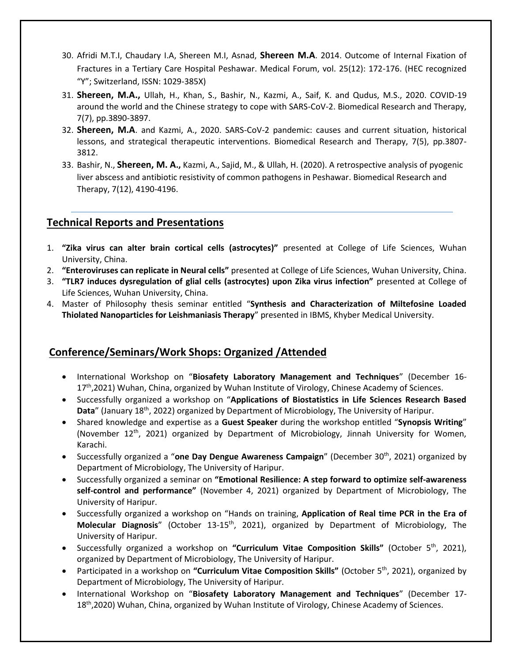- 30. Afridi M.T.I, Chaudary I.A, Shereen M.I, Asnad, **Shereen M.A**. 2014. Outcome of Internal Fixation of Fractures in a Tertiary Care Hospital Peshawar. Medical Forum, vol. 25(12): 172-176. (HEC recognized "Y"; Switzerland, ISSN: 1029-385X)
- 31. **Shereen, M.A.,** Ullah, H., Khan, S., Bashir, N., Kazmi, A., Saif, K. and Qudus, M.S., 2020. COVID-19 around the world and the Chinese strategy to cope with SARS-CoV-2. Biomedical Research and Therapy, 7(7), pp.3890-3897.
- 32. **Shereen, M.A**. and Kazmi, A., 2020. SARS-CoV-2 pandemic: causes and current situation, historical lessons, and strategical therapeutic interventions. Biomedical Research and Therapy, 7(5), pp.3807- 3812.
- 33. Bashir, N., **Shereen, M. A.,** Kazmi, A., Sajid, M., & Ullah, H. (2020). A retrospective analysis of pyogenic liver abscess and antibiotic resistivity of common pathogens in Peshawar. Biomedical Research and Therapy, 7(12), 4190-4196.

# **Technical Reports and Presentations**

- 1. **"Zika virus can alter brain cortical cells (astrocytes)"** presented at College of Life Sciences, Wuhan University, China.
- 2. **"Enteroviruses can replicate in Neural cells"** presented at College of Life Sciences, Wuhan University, China.
- 3. **"TLR7 induces dysregulation of glial cells (astrocytes) upon Zika virus infection"** presented at College of Life Sciences, Wuhan University, China.
- 4. Master of Philosophy thesis seminar entitled "**Synthesis and Characterization of Miltefosine Loaded Thiolated Nanoparticles for Leishmaniasis Therapy**" presented in IBMS, Khyber Medical University.

# **Conference/Seminars/Work Shops: Organized /Attended**

- International Workshop on "**Biosafety Laboratory Management and Techniques**" (December 16- 17<sup>th</sup>,2021) Wuhan, China, organized by Wuhan Institute of Virology, Chinese Academy of Sciences.
- Successfully organized a workshop on "**Applications of Biostatistics in Life Sciences Research Based**  Data" (January 18<sup>th</sup>, 2022) organized by Department of Microbiology, The University of Haripur.
- Shared knowledge and expertise as a **Guest Speaker** during the workshop entitled "**Synopsis Writing**" (November  $12^{th}$ , 2021) organized by Department of Microbiology, Jinnah University for Women, Karachi.
- Successfully organized a "**one Day Dengue Awareness Campaign**" (December 30th, 2021) organized by Department of Microbiology, The University of Haripur.
- Successfully organized a seminar on **"Emotional Resilience: A step forward to optimize self-awareness self-control and performance"** (November 4, 2021) organized by Department of Microbiology, The University of Haripur.
- Successfully organized a workshop on "Hands on training, **Application of Real time PCR in the Era of Molecular Diagnosis**" (October 13-15th, 2021), organized by Department of Microbiology, The University of Haripur.
- Successfully organized a workshop on **"Curriculum Vitae Composition Skills"** (October 5 th, 2021), organized by Department of Microbiology, The University of Haripur.
- Participated in a workshop on "Curriculum Vitae Composition Skills" (October 5<sup>th</sup>, 2021), organized by Department of Microbiology, The University of Haripur.
- International Workshop on "**Biosafety Laboratory Management and Techniques**" (December 17- 18<sup>th</sup>,2020) Wuhan, China, organized by Wuhan Institute of Virology, Chinese Academy of Sciences.